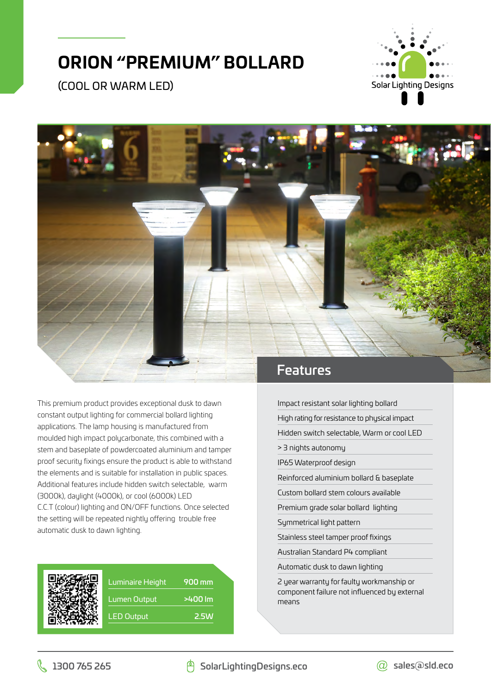## **ORION "PREMIUM" BOLLARD**

(COOL OR WARM LED)





This premium product provides exceptional dusk to dawn constant output lighting for commercial bollard lighting applications. The lamp housing is manufactured from moulded high impact polycarbonate, this combined with a stem and baseplate of powdercoated aluminium and tamper proof security fixings ensure the product is able to withstand the elements and is suitable for installation in public spaces. Additional features include hidden switch selectable, warm (3000k), daylight (4000k), or cool (6000k) LED C.C.T (colour) lighting and ON/OFF functions. Once selected the setting will be repeated nightly offering trouble free automatic dusk to dawn lighting.



Luminaire Height 900 mm Lumen Output **>400 lm** LED Output **2.5W** 

Impact resistant solar lighting bollard High rating for resistance to physical impact Hidden switch selectable, Warm or cool LED > 3 nights autonomy IP65 Waterproof design Reinforced aluminium bollard & baseplate Custom bollard stem colours available Premium grade solar bollard lighting

Symmetrical light pattern

Stainless steel tamper proof fixings

Australian Standard P4 compliant

Automatic dusk to dawn lighting

2 year warranty for faulty workmanship or component failure not influenced by external means